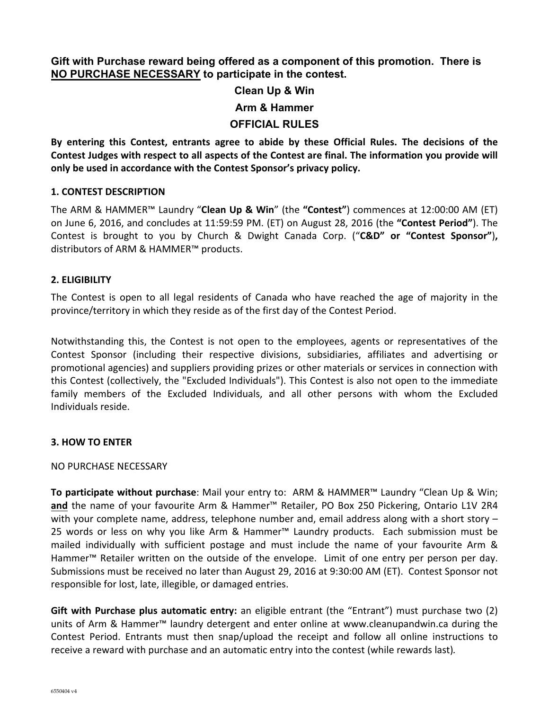**Gift with Purchase reward being offered as a component of this promotion. There is NO PURCHASE NECESSARY to participate in the contest.** 

# **Clean Up & Win**

#### **Arm & Hammer**

# **OFFICIAL RULES**

By entering this Contest, entrants agree to abide by these Official Rules. The decisions of the Contest Judges with respect to all aspects of the Contest are final. The information you provide will only be used in accordance with the Contest Sponsor's privacy policy.

### **1. CONTEST DESCRIPTION**

The ARM & HAMMER™ Laundry "**Clean Up & Win**" (the "**Contest**") commences at 12:00:00 AM (ET) on June 6, 2016, and concludes at 11:59:59 PM. (ET) on August 28, 2016 (the "Contest Period"). The Contest is brought to you by Church & Dwight Canada Corp. ("C&D" or "Contest Sponsor"), distributors of ARM & HAMMER™ products.

### **2. ELIGIBILITY**

The Contest is open to all legal residents of Canada who have reached the age of majority in the province/territory in which they reside as of the first day of the Contest Period.

Notwithstanding this, the Contest is not open to the employees, agents or representatives of the Contest Sponsor (including their respective divisions, subsidiaries, affiliates and advertising or promotional agencies) and suppliers providing prizes or other materials or services in connection with this Contest (collectively, the "Excluded Individuals"). This Contest is also not open to the immediate family members of the Excluded Individuals, and all other persons with whom the Excluded Individuals reside. 

### **3. HOW TO ENTER**

### NO PURCHASE NECESSARY

**To participate without purchase**: Mail your entry to: ARM & HAMMER™ Laundry "Clean Up & Win; and the name of your favourite Arm & Hammer™ Retailer, PO Box 250 Pickering, Ontario L1V 2R4 with your complete name, address, telephone number and, email address along with a short story  $-$ 25 words or less on why you like Arm & Hammer™ Laundry products. Each submission must be mailed individually with sufficient postage and must include the name of your favourite Arm & Hammer™ Retailer written on the outside of the envelope. Limit of one entry per person per day. Submissions must be received no later than August 29, 2016 at 9:30:00 AM (ET). Contest Sponsor not responsible for lost, late, illegible, or damaged entries.

**Gift with Purchase plus automatic entry:** an eligible entrant (the "Entrant") must purchase two (2) units of Arm & Hammer<sup>m</sup> laundry detergent and enter online at www.cleanupandwin.ca during the Contest Period. Entrants must then snap/upload the receipt and follow all online instructions to receive a reward with purchase and an automatic entry into the contest (while rewards last).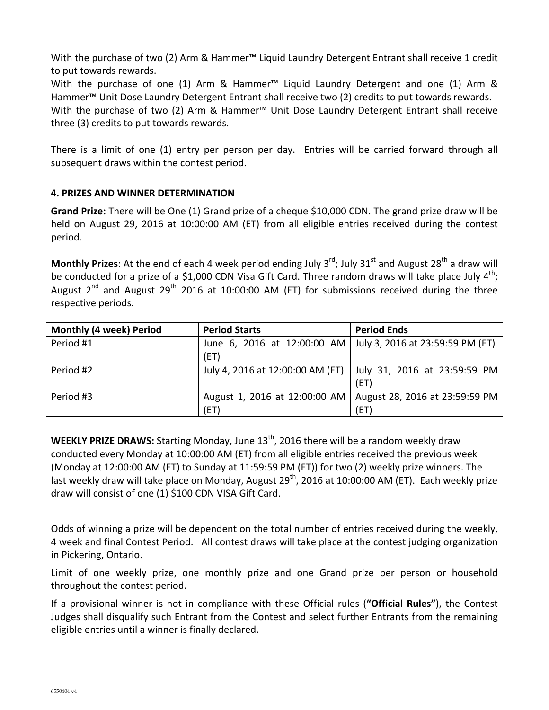With the purchase of two (2) Arm & Hammer™ Liquid Laundry Detergent Entrant shall receive 1 credit to put towards rewards.

With the purchase of one (1) Arm & Hammer<sup>m</sup> Liquid Laundry Detergent and one (1) Arm & Hammer™ Unit Dose Laundry Detergent Entrant shall receive two (2) credits to put towards rewards. With the purchase of two (2) Arm & Hammer<sup>M</sup> Unit Dose Laundry Detergent Entrant shall receive three (3) credits to put towards rewards.

There is a limit of one (1) entry per person per day. Entries will be carried forward through all subsequent draws within the contest period.

# **4. PRIZES AND WINNER DETERMINATION**

**Grand Prize:** There will be One (1) Grand prize of a cheque \$10,000 CDN. The grand prize draw will be held on August 29, 2016 at 10:00:00 AM (ET) from all eligible entries received during the contest period.

**Monthly Prizes**: At the end of each 4 week period ending July 3<sup>rd</sup>; July 31<sup>st</sup> and August 28<sup>th</sup> a draw will be conducted for a prize of a \$1,000 CDN Visa Gift Card. Three random draws will take place July  $4^{\text{th}}$ ; August  $2^{nd}$  and August  $29^{th}$  2016 at 10:00:00 AM (ET) for submissions received during the three respective periods.

| <b>Monthly (4 week) Period</b> | <b>Period Starts</b>                                           | <b>Period Ends</b>             |
|--------------------------------|----------------------------------------------------------------|--------------------------------|
| Period #1                      | June 6, 2016 at 12:00:00 AM   July 3, 2016 at 23:59:59 PM (ET) |                                |
|                                | (ET)                                                           |                                |
| Period #2                      | July 4, 2016 at 12:00:00 AM (ET)                               | July 31, 2016 at 23:59:59 PM   |
|                                |                                                                | (ET)                           |
| Period #3                      | August 1, 2016 at 12:00:00 AM                                  | August 28, 2016 at 23:59:59 PM |
|                                | (ET)                                                           | (ET)                           |

**WEEKLY PRIZE DRAWS:** Starting Monday, June 13<sup>th</sup>, 2016 there will be a random weekly draw conducted every Monday at 10:00:00 AM (ET) from all eligible entries received the previous week (Monday at 12:00:00 AM (ET) to Sunday at 11:59:59 PM (ET)) for two (2) weekly prize winners. The last weekly draw will take place on Monday, August 29<sup>th</sup>, 2016 at 10:00:00 AM (ET). Each weekly prize draw will consist of one (1) \$100 CDN VISA Gift Card.

Odds of winning a prize will be dependent on the total number of entries received during the weekly, 4 week and final Contest Period. All contest draws will take place at the contest judging organization in Pickering, Ontario.

Limit of one weekly prize, one monthly prize and one Grand prize per person or household throughout the contest period.

If a provisional winner is not in compliance with these Official rules ("**Official Rules**"), the Contest Judges shall disqualify such Entrant from the Contest and select further Entrants from the remaining eligible entries until a winner is finally declared.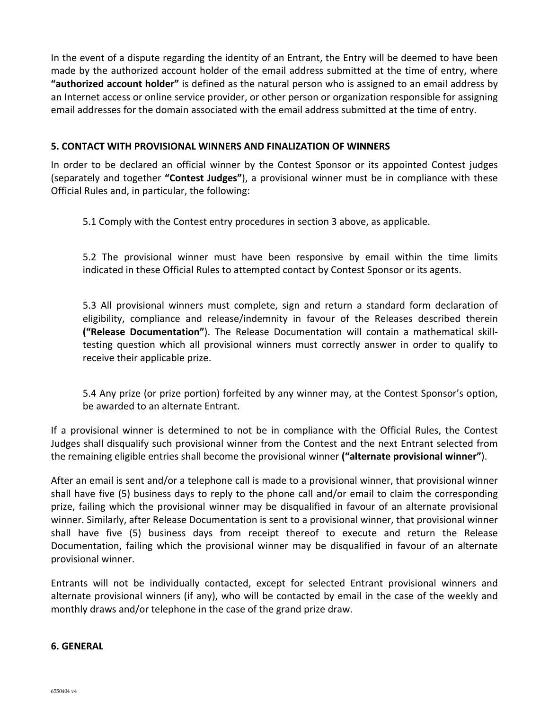In the event of a dispute regarding the identity of an Entrant, the Entry will be deemed to have been made by the authorized account holder of the email address submitted at the time of entry, where **"authorized account holder"** is defined as the natural person who is assigned to an email address by an Internet access or online service provider, or other person or organization responsible for assigning email addresses for the domain associated with the email address submitted at the time of entry.

#### **5. CONTACT WITH PROVISIONAL WINNERS AND FINALIZATION OF WINNERS**

In order to be declared an official winner by the Contest Sponsor or its appointed Contest judges (separately and together "Contest Judges"), a provisional winner must be in compliance with these Official Rules and, in particular, the following:

5.1 Comply with the Contest entry procedures in section 3 above, as applicable.

5.2 The provisional winner must have been responsive by email within the time limits indicated in these Official Rules to attempted contact by Contest Sponsor or its agents.

5.3 All provisional winners must complete, sign and return a standard form declaration of eligibility, compliance and release/indemnity in favour of the Releases described therein **("Release Documentation"**). The Release Documentation will contain a mathematical skilltesting question which all provisional winners must correctly answer in order to qualify to receive their applicable prize.

5.4 Any prize (or prize portion) forfeited by any winner may, at the Contest Sponsor's option, be awarded to an alternate Entrant.

If a provisional winner is determined to not be in compliance with the Official Rules, the Contest Judges shall disqualify such provisional winner from the Contest and the next Entrant selected from the remaining eligible entries shall become the provisional winner ("alternate provisional winner").

After an email is sent and/or a telephone call is made to a provisional winner, that provisional winner shall have five (5) business days to reply to the phone call and/or email to claim the corresponding prize, failing which the provisional winner may be disqualified in favour of an alternate provisional winner. Similarly, after Release Documentation is sent to a provisional winner, that provisional winner shall have five (5) business days from receipt thereof to execute and return the Release Documentation, failing which the provisional winner may be disqualified in favour of an alternate provisional winner.

Entrants will not be individually contacted, except for selected Entrant provisional winners and alternate provisional winners (if any), who will be contacted by email in the case of the weekly and monthly draws and/or telephone in the case of the grand prize draw.

#### **6. GENERAL**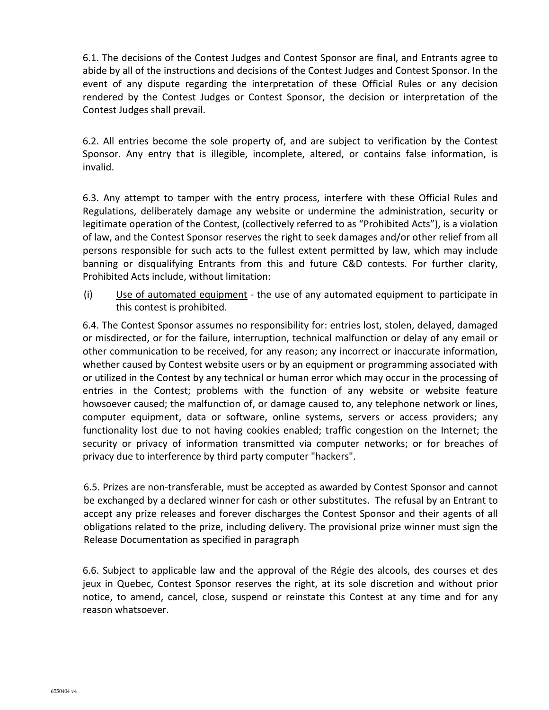6.1. The decisions of the Contest Judges and Contest Sponsor are final, and Entrants agree to abide by all of the instructions and decisions of the Contest Judges and Contest Sponsor. In the event of any dispute regarding the interpretation of these Official Rules or any decision rendered by the Contest Judges or Contest Sponsor, the decision or interpretation of the Contest Judges shall prevail.

6.2. All entries become the sole property of, and are subject to verification by the Contest Sponsor. Any entry that is illegible, incomplete, altered, or contains false information, is invalid. 

6.3. Any attempt to tamper with the entry process, interfere with these Official Rules and Regulations, deliberately damage any website or undermine the administration, security or legitimate operation of the Contest, (collectively referred to as "Prohibited Acts"), is a violation of law, and the Contest Sponsor reserves the right to seek damages and/or other relief from all persons responsible for such acts to the fullest extent permitted by law, which may include banning or disqualifying Entrants from this and future C&D contests. For further clarity, Prohibited Acts include, without limitation:

(i) Use of automated equipment - the use of any automated equipment to participate in this contest is prohibited.

6.4. The Contest Sponsor assumes no responsibility for: entries lost, stolen, delayed, damaged or misdirected, or for the failure, interruption, technical malfunction or delay of any email or other communication to be received, for any reason; any incorrect or inaccurate information, whether caused by Contest website users or by an equipment or programming associated with or utilized in the Contest by any technical or human error which may occur in the processing of entries in the Contest; problems with the function of any website or website feature howsoever caused; the malfunction of, or damage caused to, any telephone network or lines, computer equipment, data or software, online systems, servers or access providers; any functionality lost due to not having cookies enabled; traffic congestion on the Internet; the security or privacy of information transmitted via computer networks; or for breaches of privacy due to interference by third party computer "hackers".

6.5. Prizes are non-transferable, must be accepted as awarded by Contest Sponsor and cannot be exchanged by a declared winner for cash or other substitutes. The refusal by an Entrant to accept any prize releases and forever discharges the Contest Sponsor and their agents of all obligations related to the prize, including delivery. The provisional prize winner must sign the Release Documentation as specified in paragraph

6.6. Subject to applicable law and the approval of the Régie des alcools, des courses et des jeux in Quebec, Contest Sponsor reserves the right, at its sole discretion and without prior notice, to amend, cancel, close, suspend or reinstate this Contest at any time and for any reason whatsoever.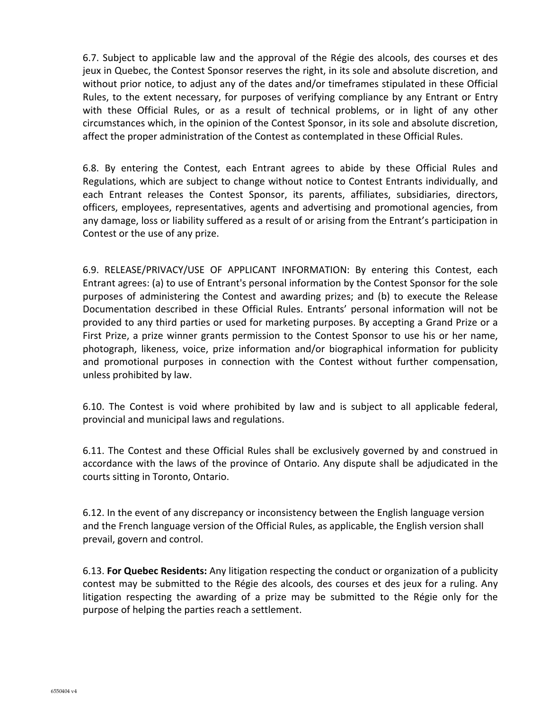6.7. Subject to applicable law and the approval of the Régie des alcools, des courses et des jeux in Quebec, the Contest Sponsor reserves the right, in its sole and absolute discretion, and without prior notice, to adjust any of the dates and/or timeframes stipulated in these Official Rules, to the extent necessary, for purposes of verifying compliance by any Entrant or Entry with these Official Rules, or as a result of technical problems, or in light of any other circumstances which, in the opinion of the Contest Sponsor, in its sole and absolute discretion, affect the proper administration of the Contest as contemplated in these Official Rules.

6.8. By entering the Contest, each Entrant agrees to abide by these Official Rules and Regulations, which are subject to change without notice to Contest Entrants individually, and each Entrant releases the Contest Sponsor, its parents, affiliates, subsidiaries, directors, officers, employees, representatives, agents and advertising and promotional agencies, from any damage, loss or liability suffered as a result of or arising from the Entrant's participation in Contest or the use of any prize.

6.9. RELEASE/PRIVACY/USE OF APPLICANT INFORMATION: By entering this Contest, each Entrant agrees: (a) to use of Entrant's personal information by the Contest Sponsor for the sole purposes of administering the Contest and awarding prizes; and (b) to execute the Release Documentation described in these Official Rules. Entrants' personal information will not be provided to any third parties or used for marketing purposes. By accepting a Grand Prize or a First Prize, a prize winner grants permission to the Contest Sponsor to use his or her name, photograph, likeness, voice, prize information and/or biographical information for publicity and promotional purposes in connection with the Contest without further compensation, unless prohibited by law.

6.10. The Contest is void where prohibited by law and is subject to all applicable federal, provincial and municipal laws and regulations.

6.11. The Contest and these Official Rules shall be exclusively governed by and construed in accordance with the laws of the province of Ontario. Any dispute shall be adjudicated in the courts sitting in Toronto, Ontario.

6.12. In the event of any discrepancy or inconsistency between the English language version and the French language version of the Official Rules, as applicable, the English version shall prevail, govern and control.

6.13. **For Quebec Residents:** Any litigation respecting the conduct or organization of a publicity contest may be submitted to the Régie des alcools, des courses et des jeux for a ruling. Any litigation respecting the awarding of a prize may be submitted to the Régie only for the purpose of helping the parties reach a settlement.